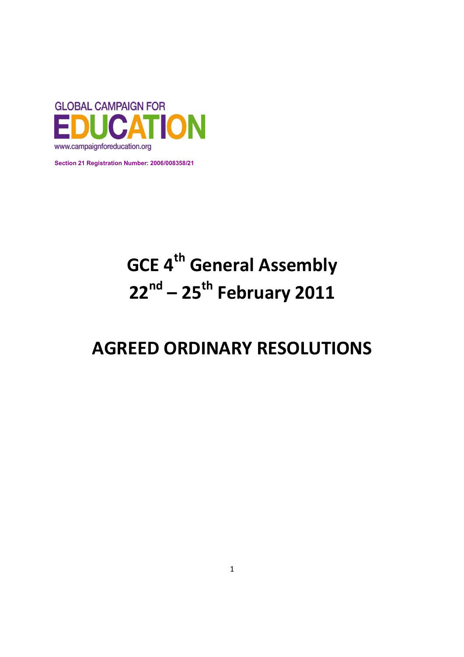

**Section 21 Registration Number: 2006/008358/21** 

# **GCE 4th General Assembly 22nd – 25th February 2011**

## **AGREED ORDINARY RESOLUTIONS**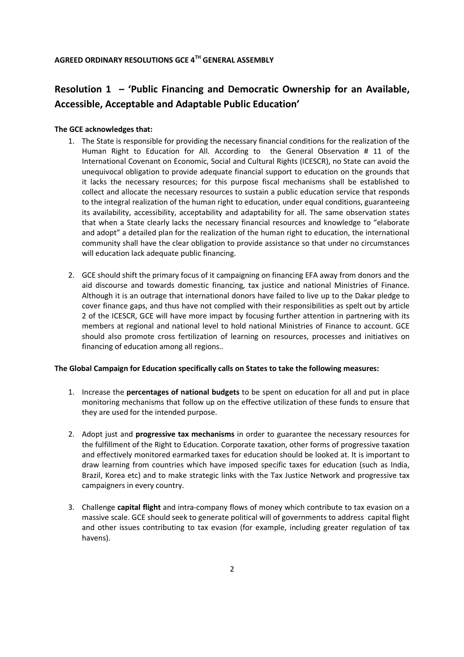## **Resolution 1 – 'Public Financing and Democratic Ownership for an Available, Accessible, Acceptable and Adaptable Public Education'**

#### **The GCE acknowledges that:**

- 1. The State is responsible for providing the necessary financial conditions for the realization of the Human Right to Education for All. According to the General Observation # 11 of the International Covenant on Economic, Social and Cultural Rights (ICESCR), no State can avoid the unequivocal obligation to provide adequate financial support to education on the grounds that it lacks the necessary resources; for this purpose fiscal mechanisms shall be established to collect and allocate the necessary resources to sustain a public education service that responds to the integral realization of the human right to education, under equal conditions, guaranteeing its availability, accessibility, acceptability and adaptability for all. The same observation states that when a State clearly lacks the necessary financial resources and knowledge to "elaborate and adopt" a detailed plan for the realization of the human right to education, the international community shall have the clear obligation to provide assistance so that under no circumstances will education lack adequate public financing.
- 2. GCE should shift the primary focus of it campaigning on financing EFA away from donors and the aid discourse and towards domestic financing, tax justice and national Ministries of Finance. Although it is an outrage that international donors have failed to live up to the Dakar pledge to cover finance gaps, and thus have not complied with their responsibilities as spelt out by article 2 of the ICESCR, GCE will have more impact by focusing further attention in partnering with its members at regional and national level to hold national Ministries of Finance to account. GCE should also promote cross fertilization of learning on resources, processes and initiatives on financing of education among all regions..

#### **The Global Campaign for Education specifically calls on States to take the following measures:**

- 1. Increase the **percentages of national budgets** to be spent on education for all and put in place monitoring mechanisms that follow up on the effective utilization of these funds to ensure that they are used for the intended purpose.
- 2. Adopt just and **progressive tax mechanisms** in order to guarantee the necessary resources for the fulfillment of the Right to Education. Corporate taxation, other forms of progressive taxation and effectively monitored earmarked taxes for education should be looked at. It is important to draw learning from countries which have imposed specific taxes for education (such as India, Brazil, Korea etc) and to make strategic links with the Tax Justice Network and progressive tax campaigners in every country.
- 3. Challenge **capital flight** and intra-company flows of money which contribute to tax evasion on a massive scale. GCE should seek to generate political will of governments to address capital flight and other issues contributing to tax evasion (for example, including greater regulation of tax havens).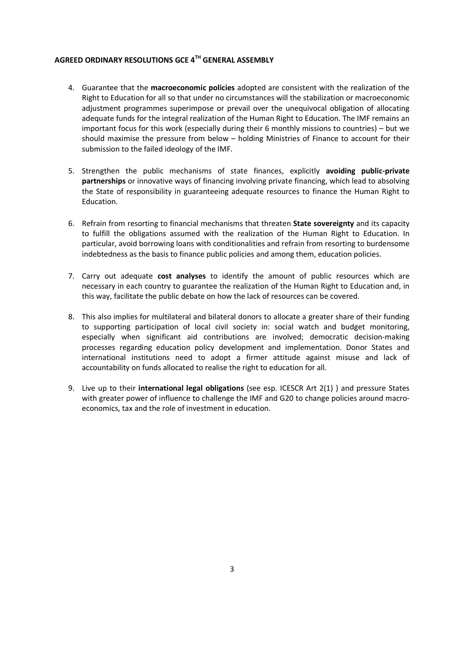- 4. Guarantee that the **macroeconomic policies** adopted are consistent with the realization of the Right to Education for all so that under no circumstances will the stabilization or macroeconomic adjustment programmes superimpose or prevail over the unequivocal obligation of allocating adequate funds for the integral realization of the Human Right to Education. The IMF remains an important focus for this work (especially during their 6 monthly missions to countries) – but we should maximise the pressure from below – holding Ministries of Finance to account for their submission to the failed ideology of the IMF.
- 5. Strengthen the public mechanisms of state finances, explicitly **avoiding public-private partnerships** or innovative ways of financing involving private financing, which lead to absolving the State of responsibility in guaranteeing adequate resources to finance the Human Right to Education.
- 6. Refrain from resorting to financial mechanisms that threaten **State sovereignty** and its capacity to fulfill the obligations assumed with the realization of the Human Right to Education. In particular, avoid borrowing loans with conditionalities and refrain from resorting to burdensome indebtedness as the basis to finance public policies and among them, education policies.
- 7. Carry out adequate **cost analyses** to identify the amount of public resources which are necessary in each country to guarantee the realization of the Human Right to Education and, in this way, facilitate the public debate on how the lack of resources can be covered.
- 8. This also implies for multilateral and bilateral donors to allocate a greater share of their funding to supporting participation of local civil society in: social watch and budget monitoring, especially when significant aid contributions are involved; democratic decision-making processes regarding education policy development and implementation. Donor States and international institutions need to adopt a firmer attitude against misuse and lack of accountability on funds allocated to realise the right to education for all.
- 9. Live up to their **international legal obligations** (see esp. ICESCR Art 2(1) ) and pressure States with greater power of influence to challenge the IMF and G20 to change policies around macroeconomics, tax and the role of investment in education.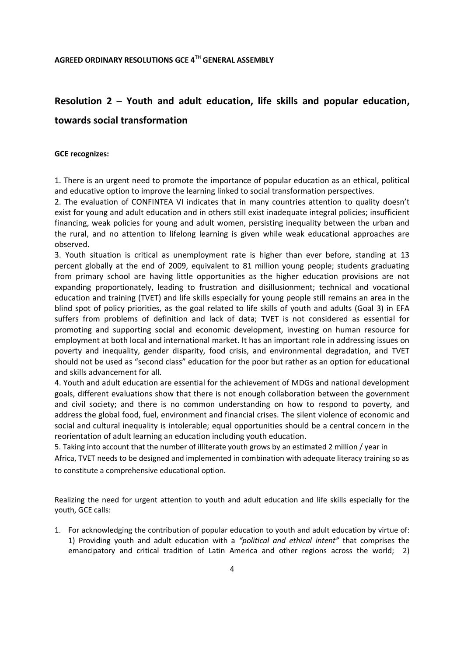## **Resolution 2 – Youth and adult education, life skills and popular education,**

## **towards social transformation**

#### **GCE recognizes:**

1. There is an urgent need to promote the importance of popular education as an ethical, political and educative option to improve the learning linked to social transformation perspectives.

2. The evaluation of CONFINTEA VI indicates that in many countries attention to quality doesn't exist for young and adult education and in others still exist inadequate integral policies; insufficient financing, weak policies for young and adult women, persisting inequality between the urban and the rural, and no attention to lifelong learning is given while weak educational approaches are observed.

3. Youth situation is critical as unemployment rate is higher than ever before, standing at 13 percent globally at the end of 2009, equivalent to 81 million young people; students graduating from primary school are having little opportunities as the higher education provisions are not expanding proportionately, leading to frustration and disillusionment; technical and vocational education and training (TVET) and life skills especially for young people still remains an area in the blind spot of policy priorities, as the goal related to life skills of youth and adults (Goal 3) in EFA suffers from problems of definition and lack of data; TVET is not considered as essential for promoting and supporting social and economic development, investing on human resource for employment at both local and international market. It has an important role in addressing issues on poverty and inequality, gender disparity, food crisis, and environmental degradation, and TVET should not be used as "second class" education for the poor but rather as an option for educational and skills advancement for all.

4. Youth and adult education are essential for the achievement of MDGs and national development goals, different evaluations show that there is not enough collaboration between the government and civil society; and there is no common understanding on how to respond to poverty, and address the global food, fuel, environment and financial crises. The silent violence of economic and social and cultural inequality is intolerable; equal opportunities should be a central concern in the reorientation of adult learning an education including youth education.

5. Taking into account that the number of illiterate youth grows by an estimated 2 million / year in Africa, TVET needs to be designed and implemented in combination with adequate literacy training so as

to constitute a comprehensive educational option.

Realizing the need for urgent attention to youth and adult education and life skills especially for the youth, GCE calls:

1. For acknowledging the contribution of popular education to youth and adult education by virtue of: 1) Providing youth and adult education with a *"political and ethical intent"* that comprises the emancipatory and critical tradition of Latin America and other regions across the world; 2)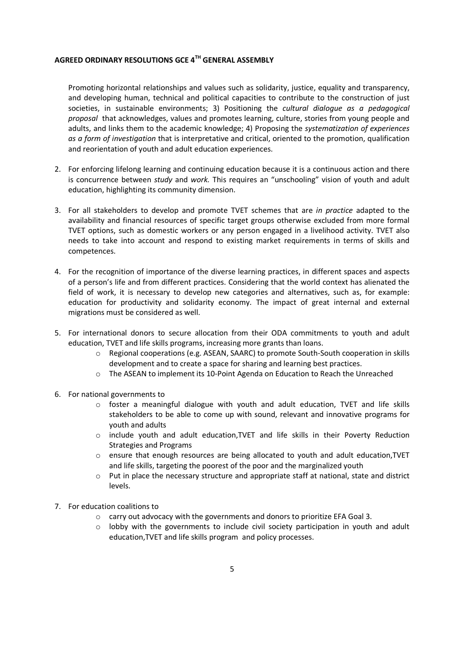Promoting horizontal relationships and values such as solidarity, justice, equality and transparency, and developing human, technical and political capacities to contribute to the construction of just societies, in sustainable environments; 3) Positioning the *cultural dialogue as a pedagogical proposal* that acknowledges, values and promotes learning, culture, stories from young people and adults, and links them to the academic knowledge; 4) Proposing the *systematization of experiences as a form of investigation* that is interpretative and critical, oriented to the promotion, qualification and reorientation of youth and adult education experiences.

- 2. For enforcing lifelong learning and continuing education because it is a continuous action and there is concurrence between *study* and *work.* This requires an "unschooling" vision of youth and adult education, highlighting its community dimension.
- 3. For all stakeholders to develop and promote TVET schemes that are *in practice* adapted to the availability and financial resources of specific target groups otherwise excluded from more formal TVET options, such as domestic workers or any person engaged in a livelihood activity. TVET also needs to take into account and respond to existing market requirements in terms of skills and competences.
- 4. For the recognition of importance of the diverse learning practices, in different spaces and aspects of a person's life and from different practices. Considering that the world context has alienated the field of work, it is necessary to develop new categories and alternatives, such as, for example: education for productivity and solidarity economy. The impact of great internal and external migrations must be considered as well.
- 5. For international donors to secure allocation from their ODA commitments to youth and adult education, TVET and life skills programs, increasing more grants than loans.
	- o Regional cooperations (e.g. ASEAN, SAARC) to promote South-South cooperation in skills development and to create a space for sharing and learning best practices.
	- o The ASEAN to implement its 10-Point Agenda on Education to Reach the Unreached
- 6. For national governments to
	- $\circ$  foster a meaningful dialogue with youth and adult education, TVET and life skills stakeholders to be able to come up with sound, relevant and innovative programs for youth and adults
	- o include youth and adult education,TVET and life skills in their Poverty Reduction Strategies and Programs
	- o ensure that enough resources are being allocated to youth and adult education,TVET and life skills, targeting the poorest of the poor and the marginalized youth
	- o Put in place the necessary structure and appropriate staff at national, state and district levels.
- 7. For education coalitions to
	- o carry out advocacy with the governments and donors to prioritize EFA Goal 3.
	- $\circ$  lobby with the governments to include civil society participation in youth and adult education,TVET and life skills program and policy processes.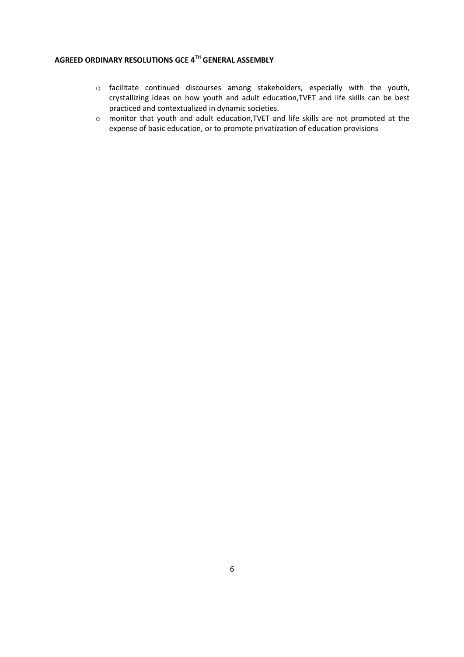- o facilitate continued discourses among stakeholders, especially with the youth, crystallizing ideas on how youth and adult education,TVET and life skills can be best practiced and contextualized in dynamic societies.
- o monitor that youth and adult education,TVET and life skills are not promoted at the expense of basic education, or to promote privatization of education provisions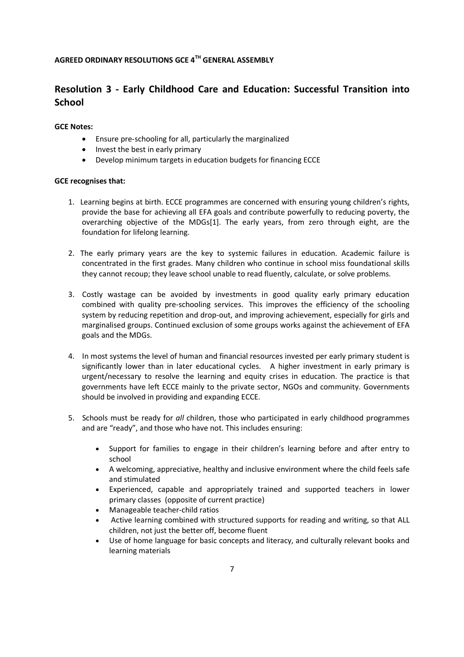## **Resolution 3 - Early Childhood Care and Education: Successful Transition into School**

#### **GCE Notes:**

- Ensure pre-schooling for all, particularly the marginalized
- Invest the best in early primary
- Develop minimum targets in education budgets for financing ECCE

#### **GCE recognises that:**

- 1. Learning begins at birth. ECCE programmes are concerned with ensuring young children's rights, provide the base for achieving all EFA goals and contribute powerfully to reducing poverty, the overarching objective of the MDGs[1]. The early years, from zero through eight, are the foundation for lifelong learning.
- 2. The early primary years are the key to systemic failures in education. Academic failure is concentrated in the first grades. Many children who continue in school miss foundational skills they cannot recoup; they leave school unable to read fluently, calculate, or solve problems.
- 3. Costly wastage can be avoided by investments in good quality early primary education combined with quality pre-schooling services. This improves the efficiency of the schooling system by reducing repetition and drop-out, and improving achievement, especially for girls and marginalised groups. Continued exclusion of some groups works against the achievement of EFA goals and the MDGs.
- 4. In most systems the level of human and financial resources invested per early primary student is significantly lower than in later educational cycles. A higher investment in early primary is urgent/necessary to resolve the learning and equity crises in education. The practice is that governments have left ECCE mainly to the private sector, NGOs and community. Governments should be involved in providing and expanding ECCE.
- 5. Schools must be ready for *all* children, those who participated in early childhood programmes and are "ready", and those who have not. This includes ensuring:
	- Support for families to engage in their children's learning before and after entry to school
	- A welcoming, appreciative, healthy and inclusive environment where the child feels safe and stimulated
	- Experienced, capable and appropriately trained and supported teachers in lower primary classes (opposite of current practice)
	- Manageable teacher-child ratios
	- Active learning combined with structured supports for reading and writing, so that ALL children, not just the better off, become fluent
	- Use of home language for basic concepts and literacy, and culturally relevant books and learning materials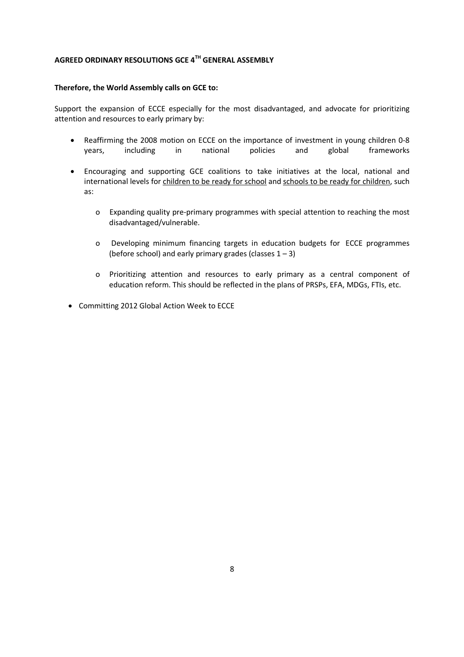#### **Therefore, the World Assembly calls on GCE to:**

Support the expansion of ECCE especially for the most disadvantaged, and advocate for prioritizing attention and resources to early primary by:

- Reaffirming the 2008 motion on ECCE on the importance of investment in young children 0-8 years, including in national policies and global frameworks
- Encouraging and supporting GCE coalitions to take initiatives at the local, national and international levels for children to be ready for school and schools to be ready for children, such as:
	- o Expanding quality pre-primary programmes with special attention to reaching the most disadvantaged/vulnerable.
	- o Developing minimum financing targets in education budgets for ECCE programmes (before school) and early primary grades (classes  $1 - 3$ )
	- o Prioritizing attention and resources to early primary as a central component of education reform. This should be reflected in the plans of PRSPs, EFA, MDGs, FTIs, etc.
- Committing 2012 Global Action Week to ECCE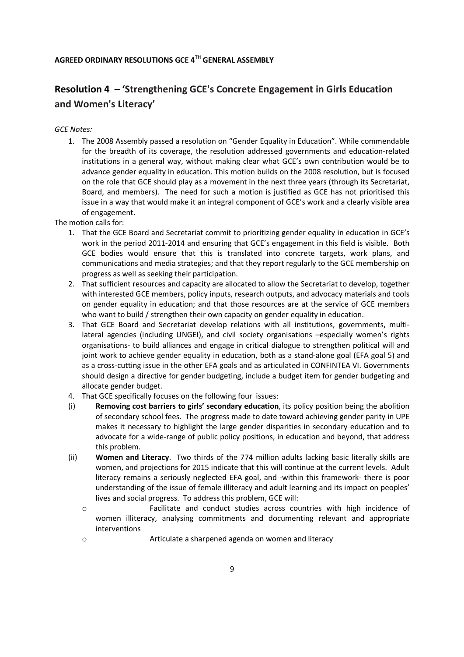## **Resolution 4 – 'Strengthening GCE's Concrete Engagement in Girls Education and Women's Literacy'**

#### *GCE Notes:*

1. The 2008 Assembly passed a resolution on "Gender Equality in Education". While commendable for the breadth of its coverage, the resolution addressed governments and education-related institutions in a general way, without making clear what GCE's own contribution would be to advance gender equality in education. This motion builds on the 2008 resolution, but is focused on the role that GCE should play as a movement in the next three years (through its Secretariat, Board, and members). The need for such a motion is justified as GCE has not prioritised this issue in a way that would make it an integral component of GCE's work and a clearly visible area of engagement.

The motion calls for:

- 1. That the GCE Board and Secretariat commit to prioritizing gender equality in education in GCE's work in the period 2011-2014 and ensuring that GCE's engagement in this field is visible. Both GCE bodies would ensure that this is translated into concrete targets, work plans, and communications and media strategies; and that they report regularly to the GCE membership on progress as well as seeking their participation.
- 2. That sufficient resources and capacity are allocated to allow the Secretariat to develop, together with interested GCE members, policy inputs, research outputs, and advocacy materials and tools on gender equality in education; and that those resources are at the service of GCE members who want to build / strengthen their own capacity on gender equality in education.
- 3. That GCE Board and Secretariat develop relations with all institutions, governments, multilateral agencies (including UNGEI), and civil society organisations –especially women's rights organisations- to build alliances and engage in critical dialogue to strengthen political will and joint work to achieve gender equality in education, both as a stand-alone goal (EFA goal 5) and as a cross-cutting issue in the other EFA goals and as articulated in CONFINTEA VI. Governments should design a directive for gender budgeting, include a budget item for gender budgeting and allocate gender budget.
- 4. That GCE specifically focuses on the following four issues:
- (i) **Removing cost barriers to girls' secondary education**, its policy position being the abolition of secondary school fees. The progress made to date toward achieving gender parity in UPE makes it necessary to highlight the large gender disparities in secondary education and to advocate for a wide-range of public policy positions, in education and beyond, that address this problem.
- (ii) **Women and Literacy**. Two thirds of the 774 million adults lacking basic literally skills are women, and projections for 2015 indicate that this will continue at the current levels. Adult literacy remains a seriously neglected EFA goal, and -within this framework- there is poor understanding of the issue of female illiteracy and adult learning and its impact on peoples' lives and social progress. To address this problem, GCE will:
	- o Facilitate and conduct studies across countries with high incidence of women illiteracy, analysing commitments and documenting relevant and appropriate interventions
	- o Articulate a sharpened agenda on women and literacy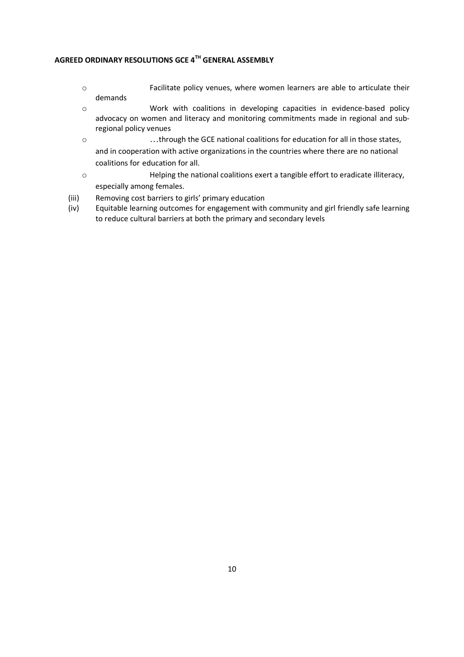- o Facilitate policy venues, where women learners are able to articulate their demands
- o Work with coalitions in developing capacities in evidence-based policy advocacy on women and literacy and monitoring commitments made in regional and subregional policy venues
- o …through the GCE national coalitions for education for all in those states, and in cooperation with active organizations in the countries where there are no national coalitions for education for all.
- o Helping the national coalitions exert a tangible effort to eradicate illiteracy, especially among females.
- (iii) Removing cost barriers to girls' primary education
- (iv) Equitable learning outcomes for engagement with community and girl friendly safe learning to reduce cultural barriers at both the primary and secondary levels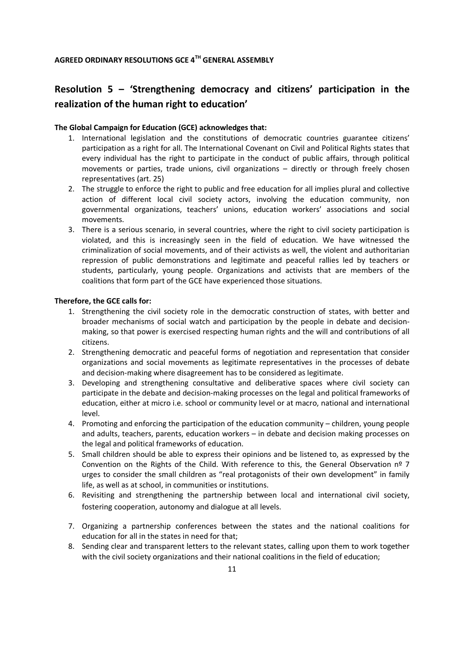## **Resolution 5 – 'Strengthening democracy and citizens' participation in the realization of the human right to education'**

#### **The Global Campaign for Education (GCE) acknowledges that:**

- 1. International legislation and the constitutions of democratic countries guarantee citizens' participation as a right for all. The International Covenant on Civil and Political Rights states that every individual has the right to participate in the conduct of public affairs, through political movements or parties, trade unions, civil organizations – directly or through freely chosen representatives (art. 25)
- 2. The struggle to enforce the right to public and free education for all implies plural and collective action of different local civil society actors, involving the education community, non governmental organizations, teachers' unions, education workers' associations and social movements.
- 3. There is a serious scenario, in several countries, where the right to civil society participation is violated, and this is increasingly seen in the field of education. We have witnessed the criminalization of social movements, and of their activists as well, the violent and authoritarian repression of public demonstrations and legitimate and peaceful rallies led by teachers or students, particularly, young people. Organizations and activists that are members of the coalitions that form part of the GCE have experienced those situations.

#### **Therefore, the GCE calls for:**

- 1. Strengthening the civil society role in the democratic construction of states, with better and broader mechanisms of social watch and participation by the people in debate and decisionmaking, so that power is exercised respecting human rights and the will and contributions of all citizens.
- 2. Strengthening democratic and peaceful forms of negotiation and representation that consider organizations and social movements as legitimate representatives in the processes of debate and decision-making where disagreement has to be considered as legitimate.
- 3. Developing and strengthening consultative and deliberative spaces where civil society can participate in the debate and decision-making processes on the legal and political frameworks of education, either at micro i.e. school or community level or at macro, national and international level.
- 4. Promoting and enforcing the participation of the education community children, young people and adults, teachers, parents, education workers – in debate and decision making processes on the legal and political frameworks of education.
- 5. Small children should be able to express their opinions and be listened to, as expressed by the Convention on the Rights of the Child. With reference to this, the General Observation  $n^{\circ}$  7 urges to consider the small children as "real protagonists of their own development" in family life, as well as at school, in communities or institutions.
- 6. Revisiting and strengthening the partnership between local and international civil society, fostering cooperation, autonomy and dialogue at all levels.
- 7. Organizing a partnership conferences between the states and the national coalitions for education for all in the states in need for that;
- 8. Sending clear and transparent letters to the relevant states, calling upon them to work together with the civil society organizations and their national coalitions in the field of education;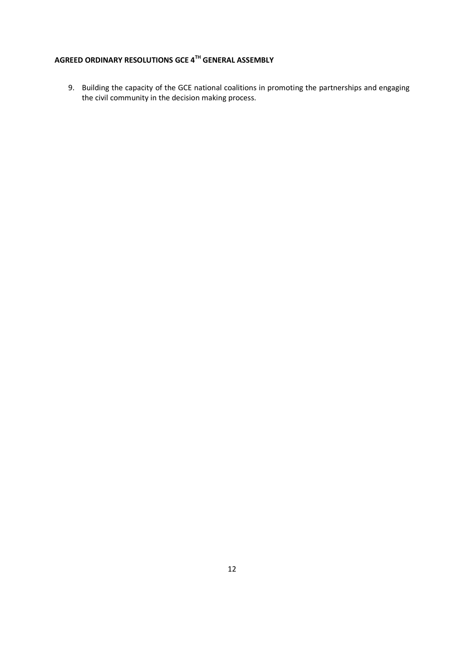9. Building the capacity of the GCE national coalitions in promoting the partnerships and engaging the civil community in the decision making process.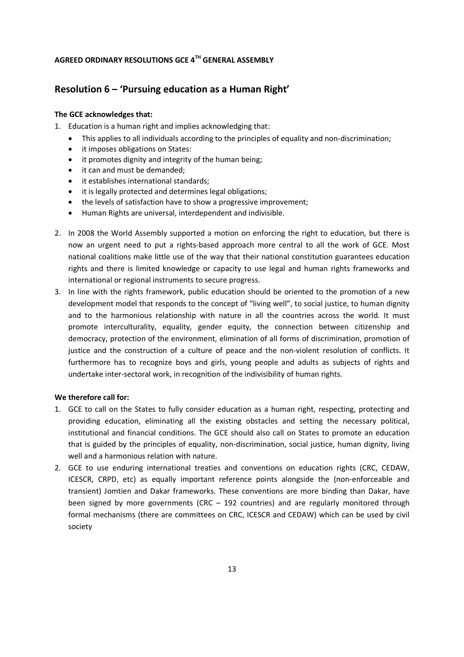## **Resolution 6 – 'Pursuing education as a Human Right'**

#### **The GCE acknowledges that:**

- 1. Education is a human right and implies acknowledging that:
	- This applies to all individuals according to the principles of equality and non-discrimination;
	- it imposes obligations on States:
	- it promotes dignity and integrity of the human being;
	- it can and must be demanded;
	- it establishes international standards;
	- it is legally protected and determines legal obligations;
	- the levels of satisfaction have to show a progressive improvement;
	- Human Rights are universal, interdependent and indivisible.
- 2. In 2008 the World Assembly supported a motion on enforcing the right to education, but there is now an urgent need to put a rights-based approach more central to all the work of GCE. Most national coalitions make little use of the way that their national constitution guarantees education rights and there is limited knowledge or capacity to use legal and human rights frameworks and international or regional instruments to secure progress.
- 3. In line with the rights framework, public education should be oriented to the promotion of a new development model that responds to the concept of "living well", to social justice, to human dignity and to the harmonious relationship with nature in all the countries across the world. It must promote interculturality, equality, gender equity, the connection between citizenship and democracy, protection of the environment, elimination of all forms of discrimination, promotion of justice and the construction of a culture of peace and the non-violent resolution of conflicts. It furthermore has to recognize boys and girls, young people and adults as subjects of rights and undertake inter-sectoral work, in recognition of the indivisibility of human rights.

#### **We therefore call for:**

- 1. GCE to call on the States to fully consider education as a human right, respecting, protecting and providing education, eliminating all the existing obstacles and setting the necessary political, institutional and financial conditions. The GCE should also call on States to promote an education that is guided by the principles of equality, non-discrimination, social justice, human dignity, living well and a harmonious relation with nature.
- 2. GCE to use enduring international treaties and conventions on education rights (CRC, CEDAW, ICESCR, CRPD, etc) as equally important reference points alongside the (non-enforceable and transient) Jomtien and Dakar frameworks. These conventions are more binding than Dakar, have been signed by more governments (CRC – 192 countries) and are regularly monitored through formal mechanisms (there are committees on CRC, ICESCR and CEDAW) which can be used by civil society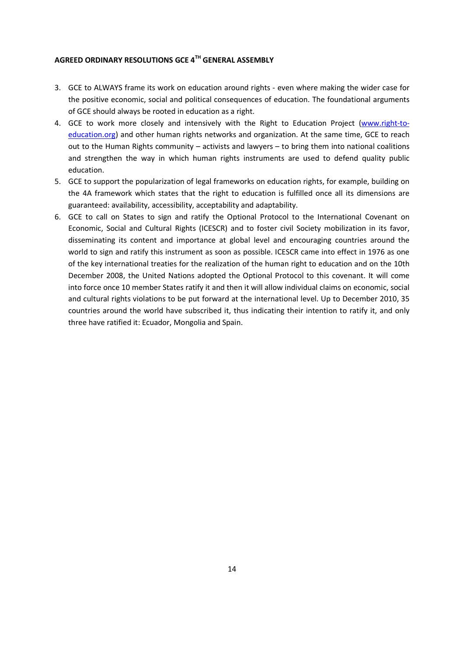- 3. GCE to ALWAYS frame its work on education around rights even where making the wider case for the positive economic, social and political consequences of education. The foundational arguments of GCE should always be rooted in education as a right.
- 4. GCE to work more closely and intensively with the Right to Education Project (www.right-toeducation.org) and other human rights networks and organization. At the same time, GCE to reach out to the Human Rights community – activists and lawyers – to bring them into national coalitions and strengthen the way in which human rights instruments are used to defend quality public education.
- 5. GCE to support the popularization of legal frameworks on education rights, for example, building on the 4A framework which states that the right to education is fulfilled once all its dimensions are guaranteed: availability, accessibility, acceptability and adaptability.
- 6. GCE to call on States to sign and ratify the Optional Protocol to the International Covenant on Economic, Social and Cultural Rights (ICESCR) and to foster civil Society mobilization in its favor, disseminating its content and importance at global level and encouraging countries around the world to sign and ratify this instrument as soon as possible. ICESCR came into effect in 1976 as one of the key international treaties for the realization of the human right to education and on the 10th December 2008, the United Nations adopted the Optional Protocol to this covenant. It will come into force once 10 member States ratify it and then it will allow individual claims on economic, social and cultural rights violations to be put forward at the international level. Up to December 2010, 35 countries around the world have subscribed it, thus indicating their intention to ratify it, and only three have ratified it: Ecuador, Mongolia and Spain.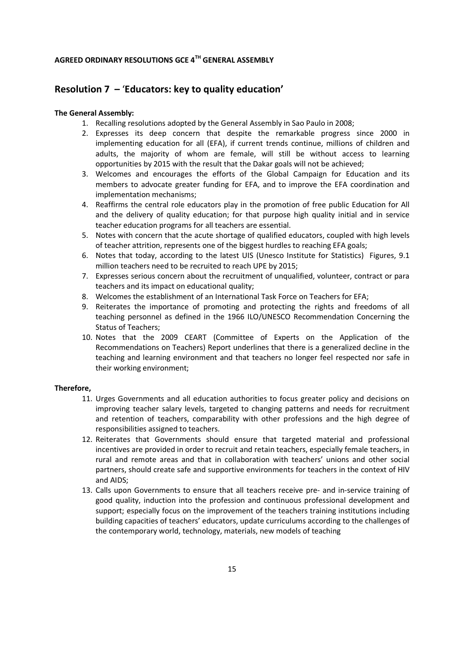## **Resolution 7 –** '**Educators: key to quality education'**

#### **The General Assembly:**

- 1. Recalling resolutions adopted by the General Assembly in Sao Paulo in 2008;
- 2. Expresses its deep concern that despite the remarkable progress since 2000 in implementing education for all (EFA), if current trends continue, millions of children and adults, the majority of whom are female, will still be without access to learning opportunities by 2015 with the result that the Dakar goals will not be achieved;
- 3. Welcomes and encourages the efforts of the Global Campaign for Education and its members to advocate greater funding for EFA, and to improve the EFA coordination and implementation mechanisms;
- 4. Reaffirms the central role educators play in the promotion of free public Education for All and the delivery of quality education; for that purpose high quality initial and in service teacher education programs for all teachers are essential.
- 5. Notes with concern that the acute shortage of qualified educators, coupled with high levels of teacher attrition, represents one of the biggest hurdles to reaching EFA goals;
- 6. Notes that today, according to the latest UIS (Unesco Institute for Statistics) Figures, 9.1 million teachers need to be recruited to reach UPE by 2015;
- 7. Expresses serious concern about the recruitment of unqualified, volunteer, contract or para teachers and its impact on educational quality;
- 8. Welcomes the establishment of an International Task Force on Teachers for EFA;
- 9. Reiterates the importance of promoting and protecting the rights and freedoms of all teaching personnel as defined in the 1966 ILO/UNESCO Recommendation Concerning the Status of Teachers;
- 10. Notes that the 2009 CEART (Committee of Experts on the Application of the Recommendations on Teachers) Report underlines that there is a generalized decline in the teaching and learning environment and that teachers no longer feel respected nor safe in their working environment;

#### **Therefore,**

- 11. Urges Governments and all education authorities to focus greater policy and decisions on improving teacher salary levels, targeted to changing patterns and needs for recruitment and retention of teachers, comparability with other professions and the high degree of responsibilities assigned to teachers.
- 12. Reiterates that Governments should ensure that targeted material and professional incentives are provided in order to recruit and retain teachers, especially female teachers, in rural and remote areas and that in collaboration with teachers' unions and other social partners, should create safe and supportive environments for teachers in the context of HIV and AIDS;
- 13. Calls upon Governments to ensure that all teachers receive pre- and in-service training of good quality, induction into the profession and continuous professional development and support; especially focus on the improvement of the teachers training institutions including building capacities of teachers' educators, update curriculums according to the challenges of the contemporary world, technology, materials, new models of teaching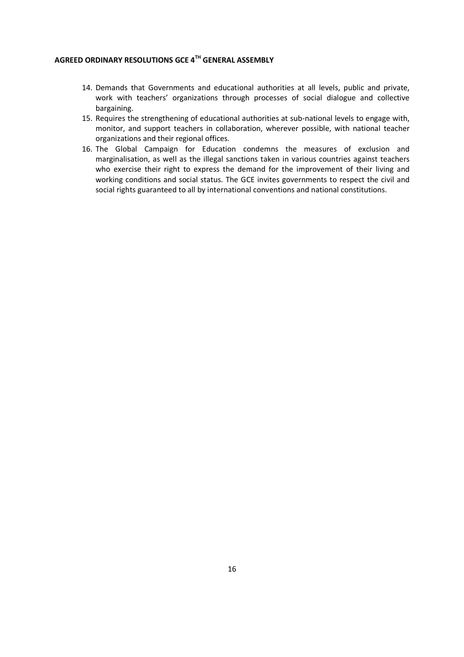- 14. Demands that Governments and educational authorities at all levels, public and private, work with teachers' organizations through processes of social dialogue and collective bargaining.
- 15. Requires the strengthening of educational authorities at sub-national levels to engage with, monitor, and support teachers in collaboration, wherever possible, with national teacher organizations and their regional offices.
- 16. The Global Campaign for Education condemns the measures of exclusion and marginalisation, as well as the illegal sanctions taken in various countries against teachers who exercise their right to express the demand for the improvement of their living and working conditions and social status. The GCE invites governments to respect the civil and social rights guaranteed to all by international conventions and national constitutions.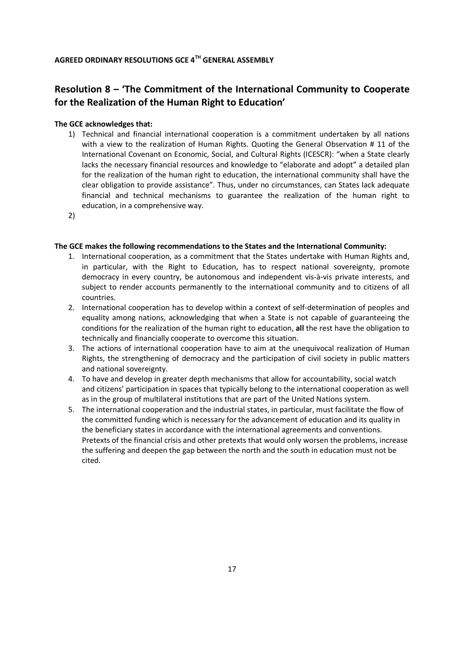## **Resolution 8 – 'The Commitment of the International Community to Cooperate for the Realization of the Human Right to Education'**

#### **The GCE acknowledges that:**

- 1) Technical and financial international cooperation is a commitment undertaken by all nations with a view to the realization of Human Rights. Quoting the General Observation # 11 of the International Covenant on Economic, Social, and Cultural Rights (ICESCR): "when a State clearly lacks the necessary financial resources and knowledge to "elaborate and adopt" a detailed plan for the realization of the human right to education, the international community shall have the clear obligation to provide assistance". Thus, under no circumstances, can States lack adequate financial and technical mechanisms to guarantee the realization of the human right to education, in a comprehensive way.
- 2)

#### **The GCE makes the following recommendations to the States and the International Community:**

- 1. International cooperation, as a commitment that the States undertake with Human Rights and, in particular, with the Right to Education, has to respect national sovereignty, promote democracy in every country, be autonomous and independent vis-à-vis private interests, and subject to render accounts permanently to the international community and to citizens of all countries.
- 2. International cooperation has to develop within a context of self-determination of peoples and equality among nations, acknowledging that when a State is not capable of guaranteeing the conditions for the realization of the human right to education, **all** the rest have the obligation to technically and financially cooperate to overcome this situation.
- 3. The actions of international cooperation have to aim at the unequivocal realization of Human Rights, the strengthening of democracy and the participation of civil society in public matters and national sovereignty.
- 4. To have and develop in greater depth mechanisms that allow for accountability, social watch and citizens' participation in spaces that typically belong to the international cooperation as well as in the group of multilateral institutions that are part of the United Nations system.
- 5. The international cooperation and the industrial states, in particular, must facilitate the flow of the committed funding which is necessary for the advancement of education and its quality in the beneficiary states in accordance with the international agreements and conventions. Pretexts of the financial crisis and other pretexts that would only worsen the problems, increase the suffering and deepen the gap between the north and the south in education must not be cited.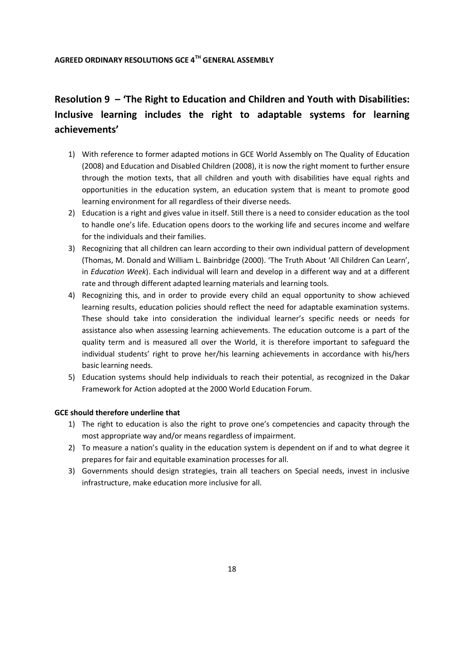## **Resolution 9 – 'The Right to Education and Children and Youth with Disabilities: Inclusive learning includes the right to adaptable systems for learning achievements'**

- 1) With reference to former adapted motions in GCE World Assembly on The Quality of Education (2008) and Education and Disabled Children (2008), it is now the right moment to further ensure through the motion texts, that all children and youth with disabilities have equal rights and opportunities in the education system, an education system that is meant to promote good learning environment for all regardless of their diverse needs.
- 2) Education is a right and gives value in itself. Still there is a need to consider education as the tool to handle one's life. Education opens doors to the working life and secures income and welfare for the individuals and their families.
- 3) Recognizing that all children can learn according to their own individual pattern of development (Thomas, M. Donald and William L. Bainbridge (2000). 'The Truth About 'All Children Can Learn', in *Education Week*). Each individual will learn and develop in a different way and at a different rate and through different adapted learning materials and learning tools.
- 4) Recognizing this, and in order to provide every child an equal opportunity to show achieved learning results, education policies should reflect the need for adaptable examination systems. These should take into consideration the individual learner's specific needs or needs for assistance also when assessing learning achievements. The education outcome is a part of the quality term and is measured all over the World, it is therefore important to safeguard the individual students' right to prove her/his learning achievements in accordance with his/hers basic learning needs.
- 5) Education systems should help individuals to reach their potential, as recognized in the Dakar Framework for Action adopted at the 2000 World Education Forum.

#### **GCE should therefore underline that**

- 1) The right to education is also the right to prove one's competencies and capacity through the most appropriate way and/or means regardless of impairment.
- 2) To measure a nation's quality in the education system is dependent on if and to what degree it prepares for fair and equitable examination processes for all.
- 3) Governments should design strategies, train all teachers on Special needs, invest in inclusive infrastructure, make education more inclusive for all.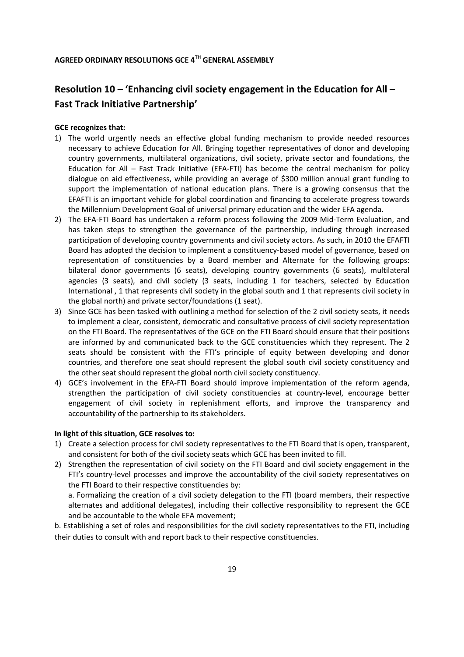## **Resolution 10 – 'Enhancing civil society engagement in the Education for All – Fast Track Initiative Partnership'**

#### **GCE recognizes that:**

- 1) The world urgently needs an effective global funding mechanism to provide needed resources necessary to achieve Education for All. Bringing together representatives of donor and developing country governments, multilateral organizations, civil society, private sector and foundations, the Education for All – Fast Track Initiative (EFA-FTI) has become the central mechanism for policy dialogue on aid effectiveness, while providing an average of \$300 million annual grant funding to support the implementation of national education plans. There is a growing consensus that the EFAFTI is an important vehicle for global coordination and financing to accelerate progress towards the Millennium Development Goal of universal primary education and the wider EFA agenda.
- 2) The EFA-FTI Board has undertaken a reform process following the 2009 Mid-Term Evaluation, and has taken steps to strengthen the governance of the partnership, including through increased participation of developing country governments and civil society actors. As such, in 2010 the EFAFTI Board has adopted the decision to implement a constituency-based model of governance, based on representation of constituencies by a Board member and Alternate for the following groups: bilateral donor governments (6 seats), developing country governments (6 seats), multilateral agencies (3 seats), and civil society (3 seats, including 1 for teachers, selected by Education International , 1 that represents civil society in the global south and 1 that represents civil society in the global north) and private sector/foundations (1 seat).
- 3) Since GCE has been tasked with outlining a method for selection of the 2 civil society seats, it needs to implement a clear, consistent, democratic and consultative process of civil society representation on the FTI Board. The representatives of the GCE on the FTI Board should ensure that their positions are informed by and communicated back to the GCE constituencies which they represent. The 2 seats should be consistent with the FTI's principle of equity between developing and donor countries, and therefore one seat should represent the global south civil society constituency and the other seat should represent the global north civil society constituency.
- 4) GCE's involvement in the EFA-FTI Board should improve implementation of the reform agenda, strengthen the participation of civil society constituencies at country-level, encourage better engagement of civil society in replenishment efforts, and improve the transparency and accountability of the partnership to its stakeholders.

#### **In light of this situation, GCE resolves to:**

- 1) Create a selection process for civil society representatives to the FTI Board that is open, transparent, and consistent for both of the civil society seats which GCE has been invited to fill.
- 2) Strengthen the representation of civil society on the FTI Board and civil society engagement in the FTI's country-level processes and improve the accountability of the civil society representatives on the FTI Board to their respective constituencies by:

a. Formalizing the creation of a civil society delegation to the FTI (board members, their respective alternates and additional delegates), including their collective responsibility to represent the GCE and be accountable to the whole EFA movement;

b. Establishing a set of roles and responsibilities for the civil society representatives to the FTI, including their duties to consult with and report back to their respective constituencies.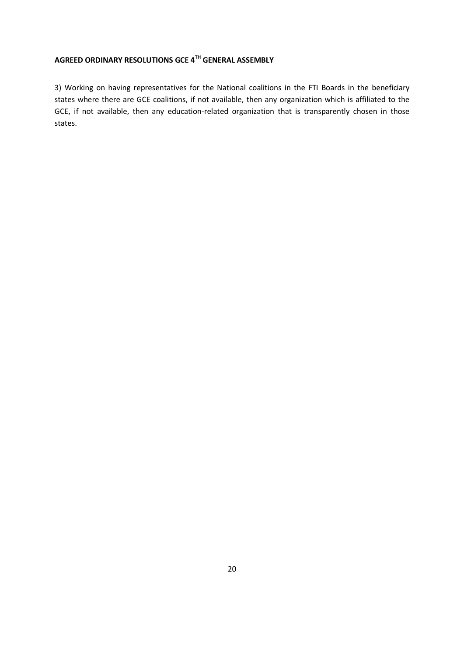3) Working on having representatives for the National coalitions in the FTI Boards in the beneficiary states where there are GCE coalitions, if not available, then any organization which is affiliated to the GCE, if not available, then any education-related organization that is transparently chosen in those states.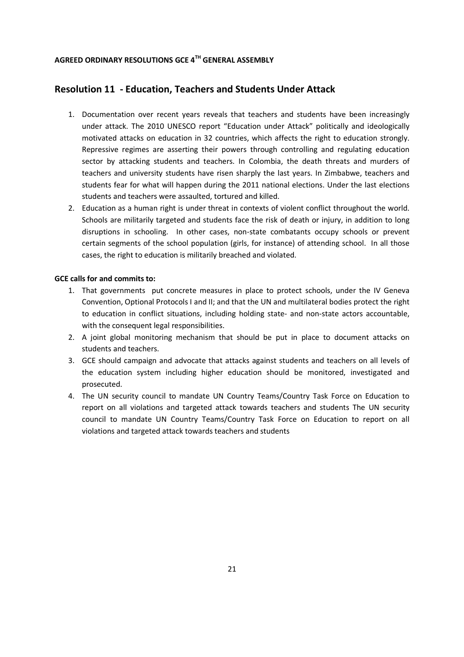#### **Resolution 11 - Education, Teachers and Students Under Attack**

- 1. Documentation over recent years reveals that teachers and students have been increasingly under attack. The 2010 UNESCO report "Education under Attack" politically and ideologically motivated attacks on education in 32 countries, which affects the right to education strongly. Repressive regimes are asserting their powers through controlling and regulating education sector by attacking students and teachers. In Colombia, the death threats and murders of teachers and university students have risen sharply the last years. In Zimbabwe, teachers and students fear for what will happen during the 2011 national elections. Under the last elections students and teachers were assaulted, tortured and killed.
- 2. Education as a human right is under threat in contexts of violent conflict throughout the world. Schools are militarily targeted and students face the risk of death or injury, in addition to long disruptions in schooling. In other cases, non-state combatants occupy schools or prevent certain segments of the school population (girls, for instance) of attending school. In all those cases, the right to education is militarily breached and violated.

#### **GCE calls for and commits to:**

- 1. That governments put concrete measures in place to protect schools, under the IV Geneva Convention, Optional Protocols I and II; and that the UN and multilateral bodies protect the right to education in conflict situations, including holding state- and non-state actors accountable, with the consequent legal responsibilities.
- 2. A joint global monitoring mechanism that should be put in place to document attacks on students and teachers.
- 3. GCE should campaign and advocate that attacks against students and teachers on all levels of the education system including higher education should be monitored, investigated and prosecuted.
- 4. The UN security council to mandate UN Country Teams/Country Task Force on Education to report on all violations and targeted attack towards teachers and students The UN security council to mandate UN Country Teams/Country Task Force on Education to report on all violations and targeted attack towards teachers and students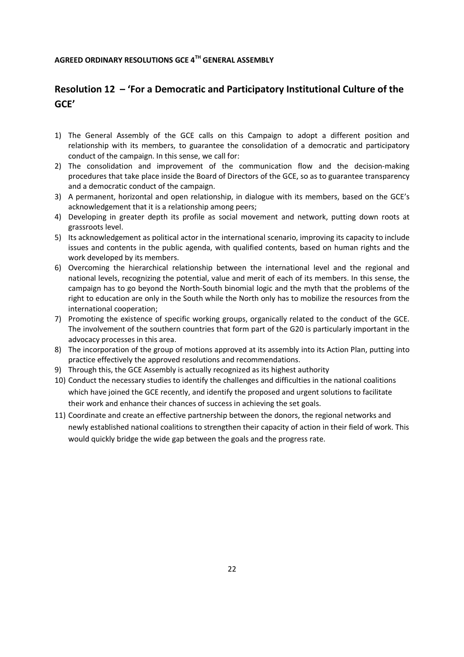## **Resolution 12 – 'For a Democratic and Participatory Institutional Culture of the GCE'**

- 1) The General Assembly of the GCE calls on this Campaign to adopt a different position and relationship with its members, to guarantee the consolidation of a democratic and participatory conduct of the campaign. In this sense, we call for:
- 2) The consolidation and improvement of the communication flow and the decision-making procedures that take place inside the Board of Directors of the GCE, so as to guarantee transparency and a democratic conduct of the campaign.
- 3) A permanent, horizontal and open relationship, in dialogue with its members, based on the GCE's acknowledgement that it is a relationship among peers;
- 4) Developing in greater depth its profile as social movement and network, putting down roots at grassroots level.
- 5) Its acknowledgement as political actor in the international scenario, improving its capacity to include issues and contents in the public agenda, with qualified contents, based on human rights and the work developed by its members.
- 6) Overcoming the hierarchical relationship between the international level and the regional and national levels, recognizing the potential, value and merit of each of its members. In this sense, the campaign has to go beyond the North-South binomial logic and the myth that the problems of the right to education are only in the South while the North only has to mobilize the resources from the international cooperation;
- 7) Promoting the existence of specific working groups, organically related to the conduct of the GCE. The involvement of the southern countries that form part of the G20 is particularly important in the advocacy processes in this area.
- 8) The incorporation of the group of motions approved at its assembly into its Action Plan, putting into practice effectively the approved resolutions and recommendations.
- 9) Through this, the GCE Assembly is actually recognized as its highest authority
- 10) Conduct the necessary studies to identify the challenges and difficulties in the national coalitions which have joined the GCE recently, and identify the proposed and urgent solutions to facilitate their work and enhance their chances of success in achieving the set goals.
- 11) Coordinate and create an effective partnership between the donors, the regional networks and newly established national coalitions to strengthen their capacity of action in their field of work. This would quickly bridge the wide gap between the goals and the progress rate.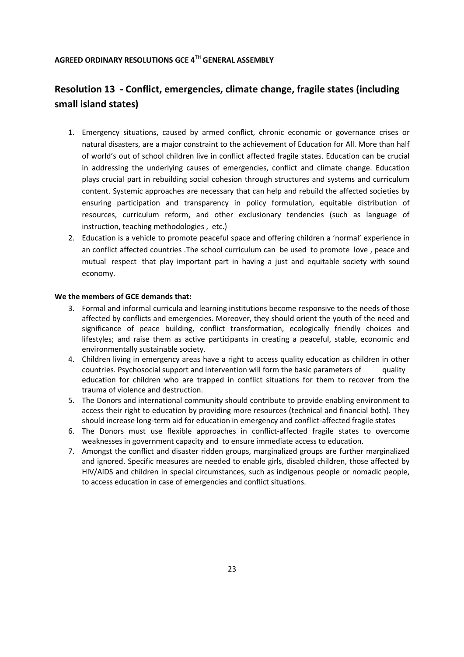## **Resolution 13 - Conflict, emergencies, climate change, fragile states (including small island states)**

- 1. Emergency situations, caused by armed conflict, chronic economic or governance crises or natural disasters, are a major constraint to the achievement of Education for All. More than half of world's out of school children live in conflict affected fragile states. Education can be crucial in addressing the underlying causes of emergencies, conflict and climate change. Education plays crucial part in rebuilding social cohesion through structures and systems and curriculum content. Systemic approaches are necessary that can help and rebuild the affected societies by ensuring participation and transparency in policy formulation, equitable distribution of resources, curriculum reform, and other exclusionary tendencies (such as language of instruction, teaching methodologies , etc.)
- 2. Education is a vehicle to promote peaceful space and offering children a 'normal' experience in an conflict affected countries .The school curriculum can be used to promote love , peace and mutual respect that play important part in having a just and equitable society with sound economy.

#### **We the members of GCE demands that:**

- 3. Formal and informal curricula and learning institutions become responsive to the needs of those affected by conflicts and emergencies. Moreover, they should orient the youth of the need and significance of peace building, conflict transformation, ecologically friendly choices and lifestyles; and raise them as active participants in creating a peaceful, stable, economic and environmentally sustainable society.
- 4. Children living in emergency areas have a right to access quality education as children in other countries. Psychosocial support and intervention will form the basic parameters of quality education for children who are trapped in conflict situations for them to recover from the trauma of violence and destruction.
- 5. The Donors and international community should contribute to provide enabling environment to access their right to education by providing more resources (technical and financial both). They should increase long-term aid for education in emergency and conflict-affected fragile states
- 6. The Donors must use flexible approaches in conflict-affected fragile states to overcome weaknesses in government capacity and to ensure immediate access to education.
- 7. Amongst the conflict and disaster ridden groups, marginalized groups are further marginalized and ignored. Specific measures are needed to enable girls, disabled children, those affected by HIV/AIDS and children in special circumstances, such as indigenous people or nomadic people, to access education in case of emergencies and conflict situations.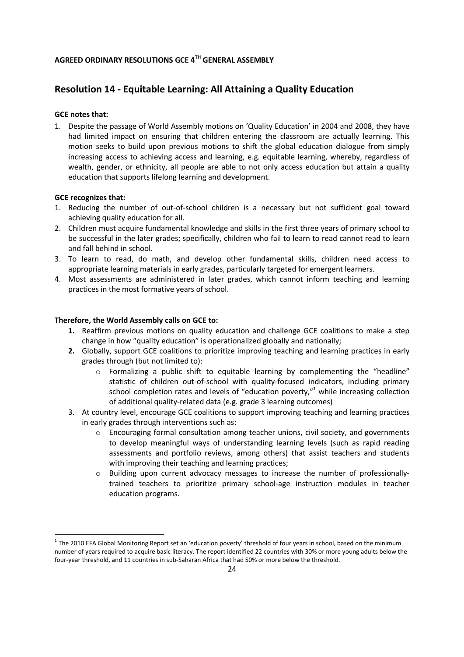## **Resolution 14 - Equitable Learning: All Attaining a Quality Education**

#### **GCE notes that:**

1. Despite the passage of World Assembly motions on 'Quality Education' in 2004 and 2008, they have had limited impact on ensuring that children entering the classroom are actually learning. This motion seeks to build upon previous motions to shift the global education dialogue from simply increasing access to achieving access and learning, e.g. equitable learning, whereby, regardless of wealth, gender, or ethnicity, all people are able to not only access education but attain a quality education that supports lifelong learning and development.

#### **GCE recognizes that:**

<u>.</u>

- 1. Reducing the number of out-of-school children is a necessary but not sufficient goal toward achieving quality education for all.
- 2. Children must acquire fundamental knowledge and skills in the first three years of primary school to be successful in the later grades; specifically, children who fail to learn to read cannot read to learn and fall behind in school.
- 3. To learn to read, do math, and develop other fundamental skills, children need access to appropriate learning materials in early grades, particularly targeted for emergent learners.
- 4. Most assessments are administered in later grades, which cannot inform teaching and learning practices in the most formative years of school.

#### **Therefore, the World Assembly calls on GCE to:**

- **1.** Reaffirm previous motions on quality education and challenge GCE coalitions to make a step change in how "quality education" is operationalized globally and nationally;
- **2.** Globally, support GCE coalitions to prioritize improving teaching and learning practices in early grades through (but not limited to):
	- $\circ$  Formalizing a public shift to equitable learning by complementing the "headline" statistic of children out-of-school with quality-focused indicators, including primary school completion rates and levels of "education poverty," $1$  while increasing collection of additional quality-related data (e.g. grade 3 learning outcomes)
- 3. At country level, encourage GCE coalitions to support improving teaching and learning practices in early grades through interventions such as:
	- $\circ$  Encouraging formal consultation among teacher unions, civil society, and governments to develop meaningful ways of understanding learning levels (such as rapid reading assessments and portfolio reviews, among others) that assist teachers and students with improving their teaching and learning practices;
	- o Building upon current advocacy messages to increase the number of professionallytrained teachers to prioritize primary school-age instruction modules in teacher education programs.

 $^1$  The 2010 EFA Global Monitoring Report set an 'education poverty' threshold of four years in school, based on the minimum number of years required to acquire basic literacy. The report identified 22 countries with 30% or more young adults below the four-year threshold, and 11 countries in sub-Saharan Africa that had 50% or more below the threshold.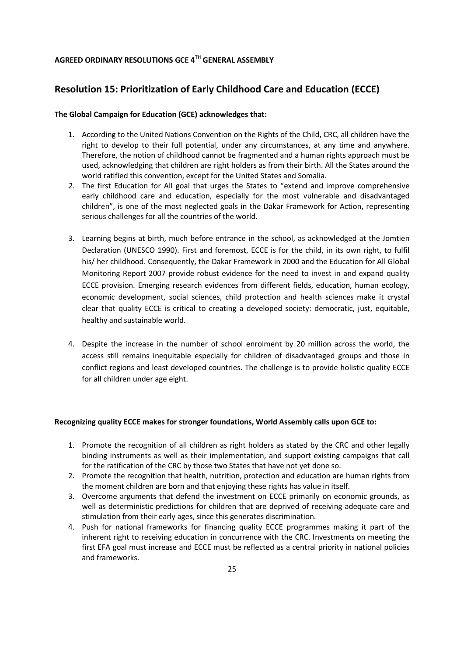## **Resolution 15: Prioritization of Early Childhood Care and Education (ECCE)**

#### **The Global Campaign for Education (GCE) acknowledges that:**

- 1. According to the United Nations Convention on the Rights of the Child, CRC, all children have the right to develop to their full potential, under any circumstances, at any time and anywhere. Therefore, the notion of childhood cannot be fragmented and a human rights approach must be used, acknowledging that children are right holders as from their birth. All the States around the world ratified this convention, except for the United States and Somalia.
- *2.* The first Education for All goal that urges the States to "extend and improve comprehensive early childhood care and education, especially for the most vulnerable and disadvantaged children", is one of the most neglected goals in the Dakar Framework for Action, representing serious challenges for all the countries of the world.
- 3. Learning begins at birth, much before entrance in the school, as acknowledged at the Jomtien Declaration (UNESCO 1990). First and foremost, ECCE is for the child, in its own right, to fulfil his/ her childhood. Consequently, the Dakar Framework in 2000 and the Education for All Global Monitoring Report 2007 provide robust evidence for the need to invest in and expand quality ECCE provision. Emerging research evidences from different fields, education, human ecology, economic development, social sciences, child protection and health sciences make it crystal clear that quality ECCE is critical to creating a developed society: democratic, just, equitable, healthy and sustainable world.
- 4. Despite the increase in the number of school enrolment by 20 million across the world, the access still remains inequitable especially for children of disadvantaged groups and those in conflict regions and least developed countries. The challenge is to provide holistic quality ECCE for all children under age eight.

#### **Recognizing quality ECCE makes for stronger foundations, World Assembly calls upon GCE to:**

- 1. Promote the recognition of all children as right holders as stated by the CRC and other legally binding instruments as well as their implementation, and support existing campaigns that call for the ratification of the CRC by those two States that have not yet done so.
- 2. Promote the recognition that health, nutrition, protection and education are human rights from the moment children are born and that enjoying these rights has value in itself.
- 3. Overcome arguments that defend the investment on ECCE primarily on economic grounds, as well as deterministic predictions for children that are deprived of receiving adequate care and stimulation from their early ages, since this generates discrimination.
- 4. Push for national frameworks for financing quality ECCE programmes making it part of the inherent right to receiving education in concurrence with the CRC. Investments on meeting the first EFA goal must increase and ECCE must be reflected as a central priority in national policies and frameworks.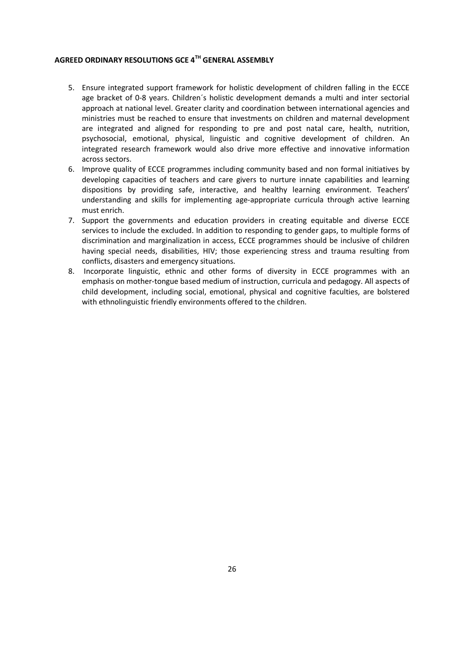- 5. Ensure integrated support framework for holistic development of children falling in the ECCE age bracket of 0-8 years. Children´s holistic development demands a multi and inter sectorial approach at national level. Greater clarity and coordination between international agencies and ministries must be reached to ensure that investments on children and maternal development are integrated and aligned for responding to pre and post natal care, health, nutrition, psychosocial, emotional, physical, linguistic and cognitive development of children. An integrated research framework would also drive more effective and innovative information across sectors.
- 6. Improve quality of ECCE programmes including community based and non formal initiatives by developing capacities of teachers and care givers to nurture innate capabilities and learning dispositions by providing safe, interactive, and healthy learning environment. Teachers' understanding and skills for implementing age-appropriate curricula through active learning must enrich.
- 7. Support the governments and education providers in creating equitable and diverse ECCE services to include the excluded. In addition to responding to gender gaps, to multiple forms of discrimination and marginalization in access, ECCE programmes should be inclusive of children having special needs, disabilities, HIV; those experiencing stress and trauma resulting from conflicts, disasters and emergency situations.
- 8. Incorporate linguistic, ethnic and other forms of diversity in ECCE programmes with an emphasis on mother-tongue based medium of instruction, curricula and pedagogy. All aspects of child development, including social, emotional, physical and cognitive faculties, are bolstered with ethnolinguistic friendly environments offered to the children.